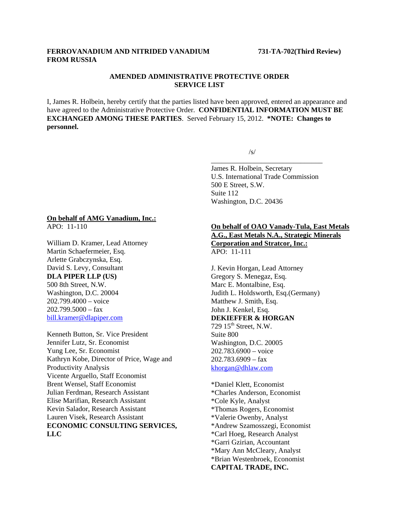### **FERROVANADIUM AND NITRIDED VANADIUM 731-TA-702(Third Review) FROM RUSSIA**

## **AMENDED ADMINISTRATIVE PROTECTIVE ORDER SERVICE LIST**

I, James R. Holbein, hereby certify that the parties listed have been approved, entered an appearance and have agreed to the Administrative Protective Order. **CONFIDENTIAL INFORMATION MUST BE EXCHANGED AMONG THESE PARTIES**. Served February 15, 2012. **\*NOTE: Changes to personnel.** 

 $\overline{\phantom{a}}$  , and the contract of the contract of the contract of the contract of the contract of the contract of the contract of the contract of the contract of the contract of the contract of the contract of the contrac

 $\sqrt{s}$ /s/

James R. Holbein, Secretary U.S. International Trade Commission 500 E Street, S.W. Suite 112 Washington, D.C. 20436

#### **On behalf of AMG Vanadium, Inc.:** APO: 11-110

William D. Kramer, Lead Attorney Martin Schaefermeier, Esq. Arlette Grabczynska, Esq. David S. Levy, Consultant **DLA PIPER LLP (US)** 500 8th Street, N.W. Washington, D.C. 20004 202.799.4000 – voice  $202.799.5000 - fax$ bill.kramer@dlapiper.com

Kenneth Button, Sr. Vice President Jennifer Lutz, Sr. Economist Yung Lee, Sr. Economist Kathryn Kobe, Director of Price, Wage and Productivity Analysis Vicente Arguello, Staff Economist Brent Wensel, Staff Economist Julian Ferdman, Research Assistant Elise Marifian, Research Assistant Kevin Salador, Research Assistant Lauren Visek, Research Assistant **ECONOMIC CONSULTING SERVICES, LLC**

**On behalf of OAO Vanady-Tula, East Metals A.G., East Metals N.A., Strategic Minerals Corporation and Stratcor, Inc.:** APO: 11-111

J. Kevin Horgan, Lead Attorney Gregory S. Menegaz, Esq. Marc E. Montalbine, Esq. Judith L. Holdsworth, Esq.(Germany) Matthew J. Smith, Esq. John J. Kenkel, Esq. **DEKIEFFER & HORGAN** 729  $15<sup>th</sup>$  Street, N.W. Suite 800 Washington, D.C. 20005 202.783.6900 – voice 202.783.6909 – fax khorgan@dhlaw.com

\*Daniel Klett, Economist \*Charles Anderson, Economist \*Cole Kyle, Analyst \*Thomas Rogers, Economist \*Valerie Owenby, Analyst \*Andrew Szamosszegi, Economist \*Carl Hoeg, Research Analyst \*Garri Gzirian, Accountant \*Mary Ann McCleary, Analyst \*Brian Westenbroek, Economist **CAPITAL TRADE, INC.**